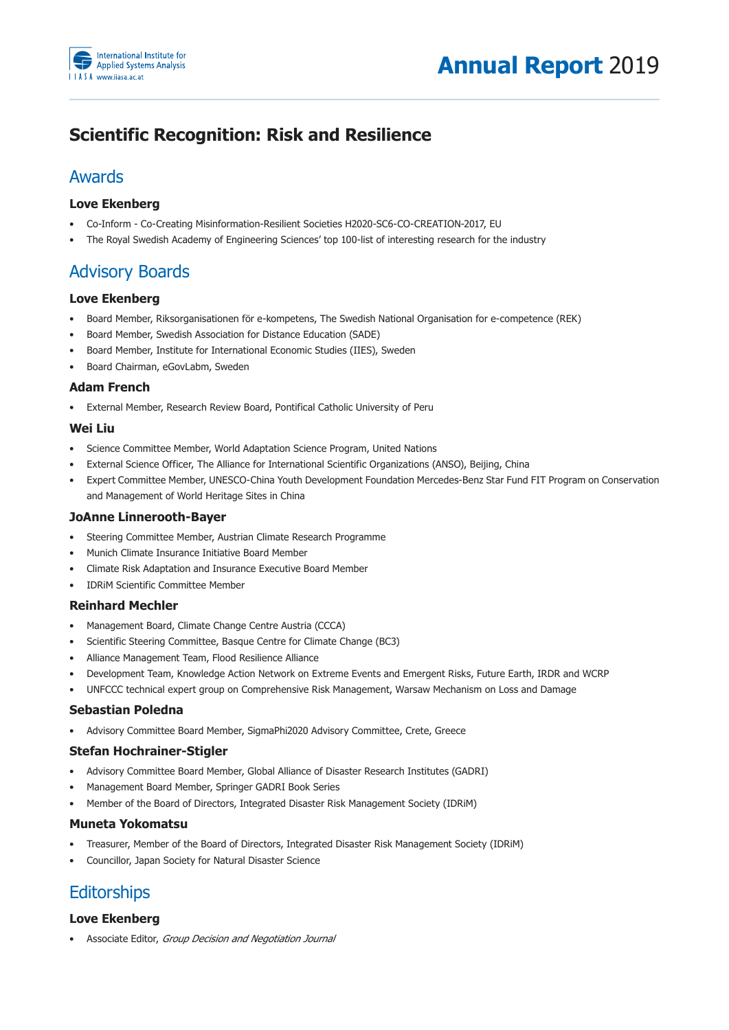

# **Scientific Recognition: Risk and Resilience**

## Awards

### **Love Ekenberg**

- Co-Inform Co-Creating Misinformation-Resilient Societies H2020-SC6-CO-CREATION-2017, EU
- The Royal Swedish Academy of Engineering Sciences' top 100-list of interesting research for the industry

## **Advisory Boards**

### **Love Ekenberg**

- Board Member, Riksorganisationen för e-kompetens, The Swedish National Organisation for e-competence (REK)
- Board Member, Swedish Association for Distance Education (SADE)
- Board Member, Institute for International Economic Studies (IIES), Sweden
- Board Chairman, eGovLabm, Sweden

### **Adam French**

• External Member, Research Review Board, Pontifical Catholic University of Peru

### **Wei Liu**

- Science Committee Member, World Adaptation Science Program, United Nations
- External Science Officer, The Alliance for International Scientific Organizations (ANSO), Beijing, China
- Expert Committee Member, UNESCO-China Youth Development Foundation Mercedes-Benz Star Fund FIT Program on Conservation and Management of World Heritage Sites in China

### **JoAnne Linnerooth-Bayer**

- Steering Committee Member, Austrian Climate Research Programme
- Munich Climate Insurance Initiative Board Member
- Climate Risk Adaptation and Insurance Executive Board Member
- IDRIM Scientific Committee Member

### **Reinhard Mechler**

- Management Board, Climate Change Centre Austria (CCCA)
- Scientific Steering Committee, Basque Centre for Climate Change (BC3)
- Alliance Management Team, Flood Resilience Alliance
- Development Team, Knowledge Action Network on Extreme Events and Emergent Risks, Future Earth, IRDR and WCRP
- UNFCCC technical expert group on Comprehensive Risk Management, Warsaw Mechanism on Loss and Damage

### **Sebastian Poledna**

• Advisory Committee Board Member, SigmaPhi2020 Advisory Committee, Crete, Greece

### **Stefan Hochrainer-Stigler**

- Advisory Committee Board Member, Global Alliance of Disaster Research Institutes (GADRI)
- Management Board Member, Springer GADRI Book Series
- Member of the Board of Directors, Integrated Disaster Risk Management Society (IDRiM)

### **Muneta Yokomatsu**

- Treasurer, Member of the Board of Directors, Integrated Disaster Risk Management Society (IDRIM)
- Councillor, Japan Society for Natural Disaster Science

# **Editorships**

### **Love Ekenberg**

• Associate Editor, *Group Decision and Negotiation Journal*